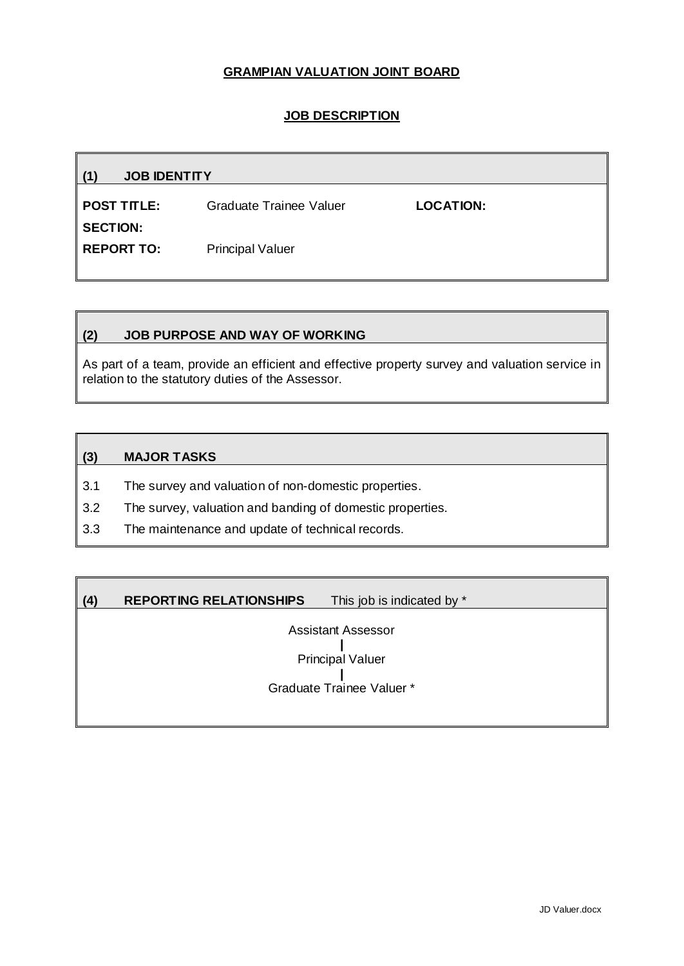### **GRAMPIAN VALUATION JOINT BOARD**

### **JOB DESCRIPTION**

| <b>JOB IDENTITY</b>     |           |
|-------------------------|-----------|
| Graduate Trainee Valuer | LOCATION: |
|                         |           |
| <b>Principal Valuer</b> |           |
|                         |           |

### **(2) JOB PURPOSE AND WAY OF WORKING**

As part of a team, provide an efficient and effective property survey and valuation service in relation to the statutory duties of the Assessor.

### **(3) MAJOR TASKS**

- 3.1 The survey and valuation of non-domestic properties.
- 3.2 The survey, valuation and banding of domestic properties.
- 3.3 The maintenance and update of technical records.

## **(4) REPORTING RELATIONSHIPS** This job is indicated by \*

Assistant Assessor **|** Principal Valuer **|** Graduate Trainee Valuer \*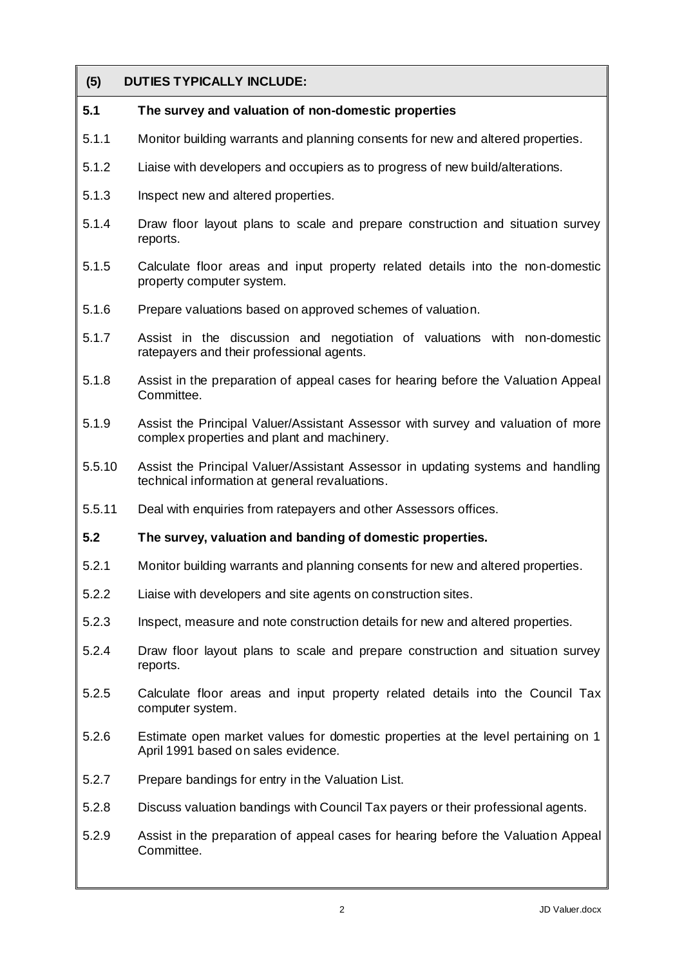# **(5) DUTIES TYPICALLY INCLUDE:**

## **5.1 The survey and valuation of non-domestic properties**

- 5.1.1 Monitor building warrants and planning consents for new and altered properties.
- 5.1.2 Liaise with developers and occupiers as to progress of new build/alterations.
- 5.1.3 Inspect new and altered properties.
- 5.1.4 Draw floor layout plans to scale and prepare construction and situation survey reports.
- 5.1.5 Calculate floor areas and input property related details into the non-domestic property computer system.
- 5.1.6 Prepare valuations based on approved schemes of valuation.
- 5.1.7 Assist in the discussion and negotiation of valuations with non-domestic ratepayers and their professional agents.
- 5.1.8 Assist in the preparation of appeal cases for hearing before the Valuation Appeal Committee.
- 5.1.9 Assist the Principal Valuer/Assistant Assessor with survey and valuation of more complex properties and plant and machinery.
- 5.5.10 Assist the Principal Valuer/Assistant Assessor in updating systems and handling technical information at general revaluations.
- 5.5.11 Deal with enquiries from ratepayers and other Assessors offices.
- **5.2 The survey, valuation and banding of domestic properties.**
- 5.2.1 Monitor building warrants and planning consents for new and altered properties.
- 5.2.2 Liaise with developers and site agents on construction sites.
- 5.2.3 Inspect, measure and note construction details for new and altered properties.
- 5.2.4 Draw floor layout plans to scale and prepare construction and situation survey reports.
- 5.2.5 Calculate floor areas and input property related details into the Council Tax computer system.
- 5.2.6 Estimate open market values for domestic properties at the level pertaining on 1 April 1991 based on sales evidence.
- 5.2.7 Prepare bandings for entry in the Valuation List.
- 5.2.8 Discuss valuation bandings with Council Tax payers or their professional agents.
- 5.2.9 Assist in the preparation of appeal cases for hearing before the Valuation Appeal Committee.